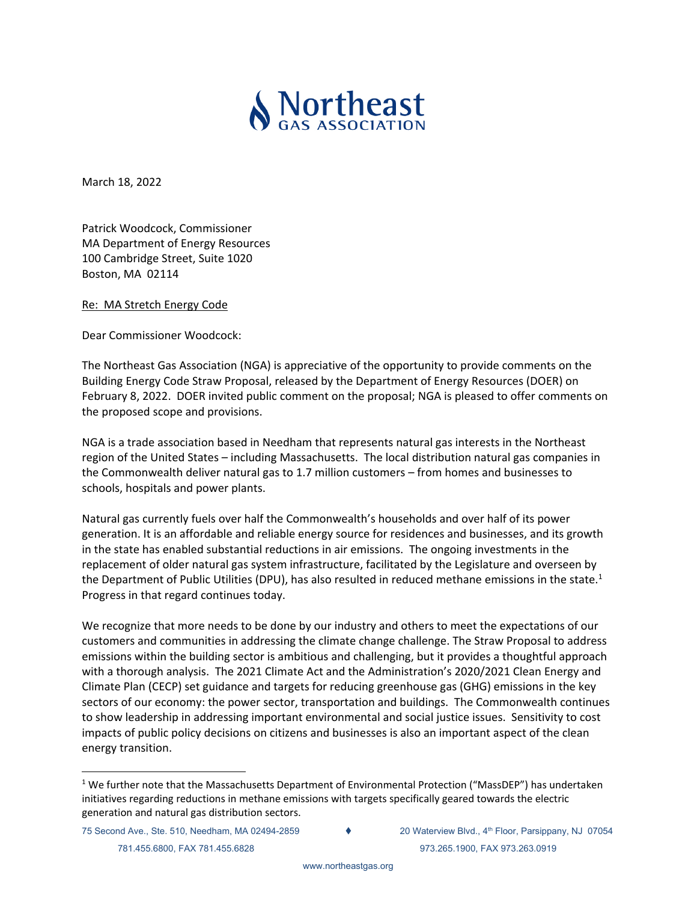

March 18, 2022

Patrick Woodcock, Commissioner MA Department of Energy Resources 100 Cambridge Street, Suite 1020 Boston, MA 02114

Re: MA Stretch Energy Code

Dear Commissioner Woodcock:

The Northeast Gas Association (NGA) is appreciative of the opportunity to provide comments on the Building Energy Code Straw Proposal, released by the Department of Energy Resources (DOER) on February 8, 2022. DOER invited public comment on the proposal; NGA is pleased to offer comments on the proposed scope and provisions.

NGA is a trade association based in Needham that represents natural gas interests in the Northeast region of the United States – including Massachusetts. The local distribution natural gas companies in the Commonwealth deliver natural gas to 1.7 million customers – from homes and businesses to schools, hospitals and power plants.

Natural gas currently fuels over half the Commonwealth's households and over half of its power generation. It is an affordable and reliable energy source for residences and businesses, and its growth in the state has enabled substantial reductions in air emissions. The ongoing investments in the replacement of older natural gas system infrastructure, facilitated by the Legislature and overseen by the Department of Public Utilities (DPU), has also resulted in reduced methane emissions in the state.<sup>1</sup> Progress in that regard continues today.

We recognize that more needs to be done by our industry and others to meet the expectations of our customers and communities in addressing the climate change challenge. The Straw Proposal to address emissions within the building sector is ambitious and challenging, but it provides a thoughtful approach with a thorough analysis. The 2021 Climate Act and the Administration's 2020/2021 Clean Energy and Climate Plan (CECP) set guidance and targets for reducing greenhouse gas (GHG) emissions in the key sectors of our economy: the power sector, transportation and buildings. The Commonwealth continues to show leadership in addressing important environmental and social justice issues. Sensitivity to cost impacts of public policy decisions on citizens and businesses is also an important aspect of the clean energy transition.

-

<sup>&</sup>lt;sup>1</sup> We further note that the Massachusetts Department of Environmental Protection ("MassDEP") has undertaken initiatives regarding reductions in methane emissions with targets specifically geared towards the electric generation and natural gas distribution sectors.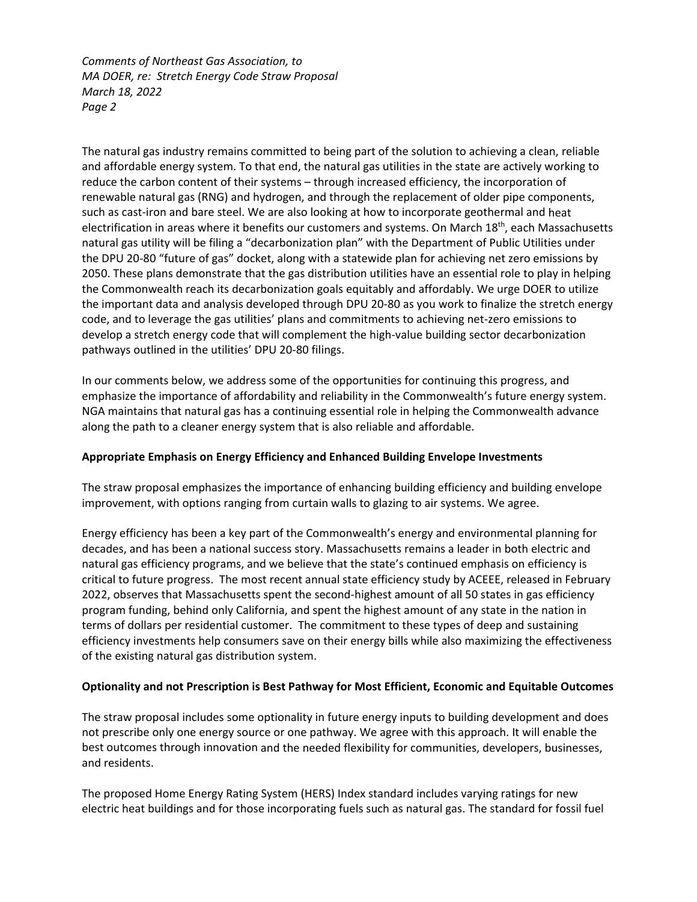The natural gas industry remains committed to being part of the solution to achieving a clean, reliable and affordable energy system. To that end, the natural gas utilities in the state are actively working to reduce the carbon content of their systems – through increased efficiency, the incorporation of renewable natural gas (RNG) and hydrogen, and through the replacement of older pipe components, such as cast-iron and bare steel. We are also looking at how to incorporate geothermal and heat electrification in areas where it benefits our customers and systems. On March 18<sup>th</sup>, each Massachusetts natural gas utility will be filing a "decarbonization plan" with the Department of Public Utilities under the DPU 20‐80 "future of gas" docket, along with a statewide plan for achieving net zero emissions by 2050. These plans demonstrate that the gas distribution utilities have an essential role to play in helping the Commonwealth reach its decarbonization goals equitably and affordably. We urge DOER to utilize the important data and analysis developed through DPU 20‐80 as you work to finalize the stretch energy code, and to leverage the gas utilities' plans and commitments to achieving net‐zero emissions to develop a stretch energy code that will complement the high‐value building sector decarbonization pathways outlined in the utilities' DPU 20‐80 filings.

In our comments below, we address some of the opportunities for continuing this progress, and emphasize the importance of affordability and reliability in the Commonwealth's future energy system. NGA maintains that natural gas has a continuing essential role in helping the Commonwealth advance along the path to a cleaner energy system that is also reliable and affordable.

# **Appropriate Emphasis on Energy Efficiency and Enhanced Building Envelope Investments**

The straw proposal emphasizes the importance of enhancing building efficiency and building envelope improvement, with options ranging from curtain walls to glazing to air systems. We agree.

Energy efficiency has been a key part of the Commonwealth's energy and environmental planning for decades, and has been a national success story. Massachusetts remains a leader in both electric and natural gas efficiency programs, and we believe that the state's continued emphasis on efficiency is critical to future progress. The most recent annual state efficiency study by ACEEE, released in February 2022, observes that Massachusetts spent the second-highest amount of all 50 states in gas efficiency program funding, behind only California, and spent the highest amount of any state in the nation in terms of dollars per residential customer. The commitment to these types of deep and sustaining efficiency investments help consumers save on their energy bills while also maximizing the effectiveness of the existing natural gas distribution system.

# **Optionality and not Prescription is Best Pathway for Most Efficient, Economic and Equitable Outcomes**

The straw proposal includes some optionality in future energy inputs to building development and does not prescribe only one energy source or one pathway. We agree with this approach. It will enable the best outcomes through innovation and the needed flexibility for communities, developers, businesses, and residents.

The proposed Home Energy Rating System (HERS) Index standard includes varying ratings for new electric heat buildings and for those incorporating fuels such as natural gas. The standard for fossil fuel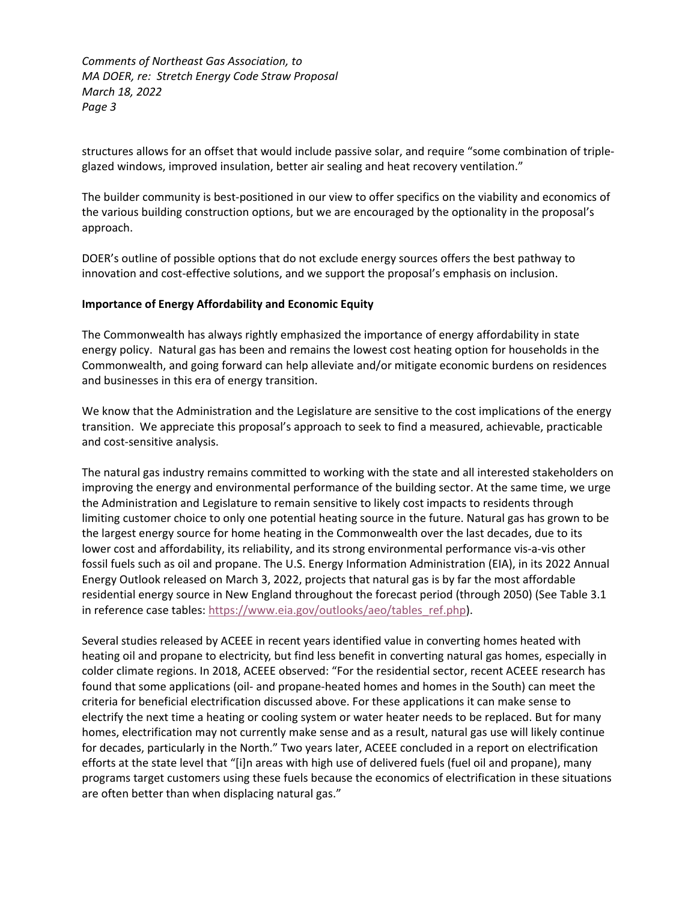structures allows for an offset that would include passive solar, and require "some combination of triple‐ glazed windows, improved insulation, better air sealing and heat recovery ventilation."

The builder community is best‐positioned in our view to offer specifics on the viability and economics of the various building construction options, but we are encouraged by the optionality in the proposal's approach.

DOER's outline of possible options that do not exclude energy sources offers the best pathway to innovation and cost‐effective solutions, and we support the proposal's emphasis on inclusion.

## **Importance of Energy Affordability and Economic Equity**

The Commonwealth has always rightly emphasized the importance of energy affordability in state energy policy. Natural gas has been and remains the lowest cost heating option for households in the Commonwealth, and going forward can help alleviate and/or mitigate economic burdens on residences and businesses in this era of energy transition.

We know that the Administration and the Legislature are sensitive to the cost implications of the energy transition. We appreciate this proposal's approach to seek to find a measured, achievable, practicable and cost‐sensitive analysis.

The natural gas industry remains committed to working with the state and all interested stakeholders on improving the energy and environmental performance of the building sector. At the same time, we urge the Administration and Legislature to remain sensitive to likely cost impacts to residents through limiting customer choice to only one potential heating source in the future. Natural gas has grown to be the largest energy source for home heating in the Commonwealth over the last decades, due to its lower cost and affordability, its reliability, and its strong environmental performance vis‐a‐vis other fossil fuels such as oil and propane. The U.S. Energy Information Administration (EIA), in its 2022 Annual Energy Outlook released on March 3, 2022, projects that natural gas is by far the most affordable residential energy source in New England throughout the forecast period (through 2050) (See Table 3.1 in reference case tables: https://www.eia.gov/outlooks/aeo/tables\_ref.php).

Several studies released by ACEEE in recent years identified value in converting homes heated with heating oil and propane to electricity, but find less benefit in converting natural gas homes, especially in colder climate regions. In 2018, ACEEE observed: "For the residential sector, recent ACEEE research has found that some applications (oil‐ and propane‐heated homes and homes in the South) can meet the criteria for beneficial electrification discussed above. For these applications it can make sense to electrify the next time a heating or cooling system or water heater needs to be replaced. But for many homes, electrification may not currently make sense and as a result, natural gas use will likely continue for decades, particularly in the North." Two years later, ACEEE concluded in a report on electrification efforts at the state level that "[i]n areas with high use of delivered fuels (fuel oil and propane), many programs target customers using these fuels because the economics of electrification in these situations are often better than when displacing natural gas."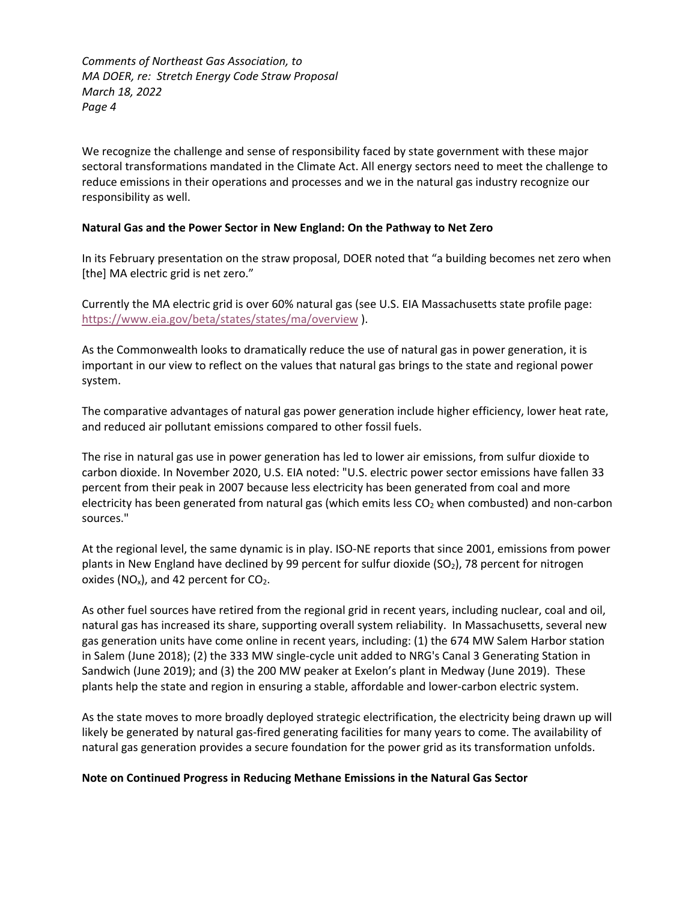We recognize the challenge and sense of responsibility faced by state government with these major sectoral transformations mandated in the Climate Act. All energy sectors need to meet the challenge to reduce emissions in their operations and processes and we in the natural gas industry recognize our responsibility as well.

## **Natural Gas and the Power Sector in New England: On the Pathway to Net Zero**

In its February presentation on the straw proposal, DOER noted that "a building becomes net zero when [the] MA electric grid is net zero."

Currently the MA electric grid is over 60% natural gas (see U.S. EIA Massachusetts state profile page: https://www.eia.gov/beta/states/states/ma/overview ).

As the Commonwealth looks to dramatically reduce the use of natural gas in power generation, it is important in our view to reflect on the values that natural gas brings to the state and regional power system.

The comparative advantages of natural gas power generation include higher efficiency, lower heat rate, and reduced air pollutant emissions compared to other fossil fuels.

The rise in natural gas use in power generation has led to lower air emissions, from sulfur dioxide to carbon dioxide. In November 2020, U.S. EIA noted: "U.S. electric power sector emissions have fallen 33 percent from their peak in 2007 because less electricity has been generated from coal and more electricity has been generated from natural gas (which emits less  $CO<sub>2</sub>$  when combusted) and non-carbon sources."

At the regional level, the same dynamic is in play. ISO-NE reports that since 2001, emissions from power plants in New England have declined by 99 percent for sulfur dioxide ( $SO<sub>2</sub>$ ), 78 percent for nitrogen oxides ( $NO_x$ ), and 42 percent for  $CO_2$ .

As other fuel sources have retired from the regional grid in recent years, including nuclear, coal and oil, natural gas has increased its share, supporting overall system reliability. In Massachusetts, several new gas generation units have come online in recent years, including: (1) the 674 MW Salem Harbor station in Salem (June 2018); (2) the 333 MW single‐cycle unit added to NRG's Canal 3 Generating Station in Sandwich (June 2019); and (3) the 200 MW peaker at Exelon's plant in Medway (June 2019). These plants help the state and region in ensuring a stable, affordable and lower‐carbon electric system.

As the state moves to more broadly deployed strategic electrification, the electricity being drawn up will likely be generated by natural gas‐fired generating facilities for many years to come. The availability of natural gas generation provides a secure foundation for the power grid as its transformation unfolds.

### **Note on Continued Progress in Reducing Methane Emissions in the Natural Gas Sector**